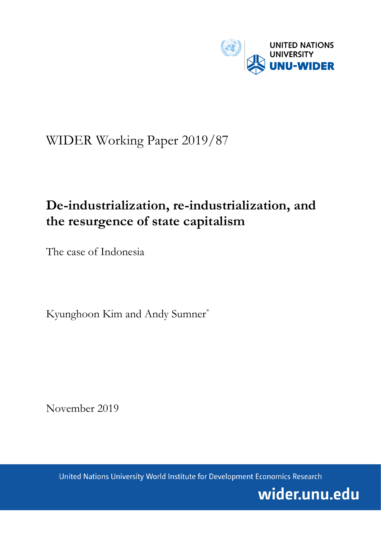

# WIDER Working Paper 2019/87

# **De-industrialization, re-industrialization, and the resurgence of state capitalism**

The case of Indonesia

Kyunghoon Kim and Andy Sumner\*

November 2019

United Nations University World Institute for Development Economics Research

wider.unu.edu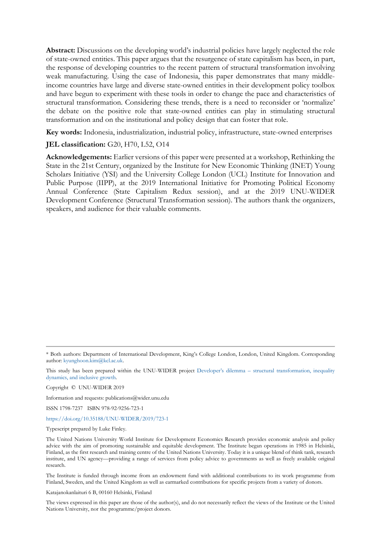**Abstract:** Discussions on the developing world's industrial policies have largely neglected the role of state-owned entities. This paper argues that the resurgence of state capitalism has been, in part, the response of developing countries to the recent pattern of structural transformation involving weak manufacturing. Using the case of Indonesia, this paper demonstrates that many middleincome countries have large and diverse state-owned entities in their development policy toolbox and have begun to experiment with these tools in order to change the pace and characteristics of structural transformation. Considering these trends, there is a need to reconsider or 'normalize' the debate on the positive role that state-owned entities can play in stimulating structural transformation and on the institutional and policy design that can foster that role.

**Key words:** Indonesia, industrialization, industrial policy, infrastructure, state-owned enterprises

#### **JEL classification:** G20, H70, L52, O14

**Acknowledgements:** Earlier versions of this paper were presented at a workshop, Rethinking the State in the 21st Century, organized by the Institute for New Economic Thinking (INET) Young Scholars Initiative (YSI) and the University College London (UCL) Institute for Innovation and Public Purpose (IIPP), at the 2019 International Initiative for Promoting Political Economy Annual Conference (State Capitalism Redux session), and at the 2019 UNU-WIDER Development Conference (Structural Transformation session). The authors thank the organizers, speakers, and audience for their valuable comments.

This study has been prepared within the UNU-WIDER project Developer's dilemma – [structural transformation, inequality](https://www.wider.unu.edu/node/237411)  [dynamics, and inclusive growth.](https://www.wider.unu.edu/node/237411)

Copyright © UNU-WIDER 2019

Information and requests: publications@wider.unu.edu

ISSN 1798-7237 ISBN 978-92-9256-723-1

<https://doi.org/10.35188/UNU-WIDER/2019/723-1>

Typescript prepared by Luke Finley.

The United Nations University World Institute for Development Economics Research provides economic analysis and policy advice with the aim of promoting sustainable and equitable development. The Institute began operations in 1985 in Helsinki, Finland, as the first research and training centre of the United Nations University. Today it is a unique blend of think tank, research institute, and UN agency—providing a range of services from policy advice to governments as well as freely available original research.

The Institute is funded through income from an endowment fund with additional contributions to its work programme from Finland, Sweden, and the United Kingdom as well as earmarked contributions for specific projects from a variety of donors.

Katajanokanlaituri 6 B, 00160 Helsinki, Finland

The views expressed in this paper are those of the author(s), and do not necessarily reflect the views of the Institute or the United Nations University, nor the programme/project donors.

<sup>\*</sup> Both authors: Department of International Development, King's College London, London, United Kingdom. Corresponding author: [kyunghoon.kim@kcl.ac.uk.](mailto:kyunghoon.kim@kcl.ac.uk)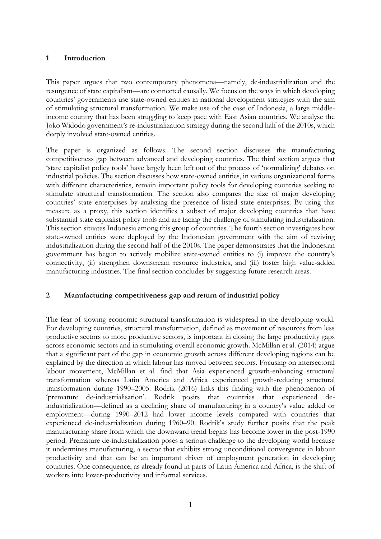## **1 Introduction**

This paper argues that two contemporary phenomena—namely, de-industrialization and the resurgence of state capitalism—are connected causally. We focus on the ways in which developing countries' governments use state-owned entities in national development strategies with the aim of stimulating structural transformation. We make use of the case of Indonesia, a large middleincome country that has been struggling to keep pace with East Asian countries. We analyse the Joko Widodo government's re-industrialization strategy during the second half of the 2010s, which deeply involved state-owned entities.

The paper is organized as follows. The second section discusses the manufacturing competitiveness gap between advanced and developing countries. The third section argues that 'state capitalist policy tools' have largely been left out of the process of 'normalizing' debates on industrial policies. The section discusses how state-owned entities, in various organizational forms with different characteristics, remain important policy tools for developing countries seeking to stimulate structural transformation. The section also compares the size of major developing countries' state enterprises by analysing the presence of listed state enterprises. By using this measure as a proxy, this section identifies a subset of major developing countries that have substantial state capitalist policy tools and are facing the challenge of stimulating industrialization. This section situates Indonesia among this group of countries. The fourth section investigates how state-owned entities were deployed by the Indonesian government with the aim of reviving industrialization during the second half of the 2010s. The paper demonstrates that the Indonesian government has begun to actively mobilize state-owned entities to (i) improve the country's connectivity, (ii) strengthen downstream resource industries, and (iii) foster high value-added manufacturing industries. The final section concludes by suggesting future research areas.

## **2 Manufacturing competitiveness gap and return of industrial policy**

The fear of slowing economic structural transformation is widespread in the developing world. For developing countries, structural transformation, defined as movement of resources from less productive sectors to more productive sectors, is important in closing the large productivity gaps across economic sectors and in stimulating overall economic growth. McMillan et al. (2014) argue that a significant part of the gap in economic growth across different developing regions can be explained by the direction in which labour has moved between sectors. Focusing on intersectoral labour movement, McMillan et al. find that Asia experienced growth-enhancing structural transformation whereas Latin America and Africa experienced growth-reducing structural transformation during 1990–2005. Rodrik (2016) links this finding with the phenomenon of 'premature de-industrialisation'. Rodrik posits that countries that experienced deindustrialization—defined as a declining share of manufacturing in a country's value added or employment—during 1990–2012 had lower income levels compared with countries that experienced de-industrialization during 1960–90. Rodrik's study further posits that the peak manufacturing share from which the downward trend begins has become lower in the post-1990 period. Premature de-industrialization poses a serious challenge to the developing world because it undermines manufacturing, a sector that exhibits strong unconditional convergence in labour productivity and that can be an important driver of employment generation in developing countries. One consequence, as already found in parts of Latin America and Africa, is the shift of workers into lower-productivity and informal services.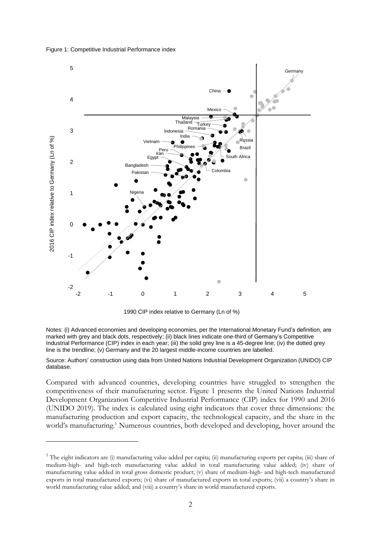Figure 1: Competitive Industrial Performance index



1990 CIP index relative to Germany (Ln of %)

Notes: (i) Advanced economies and developing economies, per the International Monetary Fund's definition, are marked with grey and black dots, respectively; (ii) black lines indicate one-third of Germany's Competitive Industrial Performance (CIP) index in each year; (iii) the solid grey line is a 45-degree line; (iv) the dotted grey line is the trendline; (v) Germany and the 20 largest middle-income countries are labelled.

Source: Authors' construction using data from United Nations Industrial Development Organization (UNIDO) CIP database.

Compared with advanced countries, developing countries have struggled to strengthen the competitiveness of their manufacturing sector. Figure 1 presents the United Nations Industrial Development Organization Competitive Industrial Performance (CIP) index for 1990 and 2016 (UNIDO 2019). The index is calculated using eight indicators that cover three dimensions: the manufacturing production and export capacity, the technological capacity, and the share in the world's manufacturing.<sup>1</sup> Numerous countries, both developed and developing, hover around the

<sup>&</sup>lt;sup>1</sup> The eight indicators are (i) manufacturing value added per capita; (ii) manufacturing exports per capita; (iii) share of medium-high- and high-tech manufacturing value added in total manufacturing value added; (iv) share of manufacturing value added in total gross domestic product; (v) share of medium-high- and high-tech manufactured exports in total manufactured exports; (vi) share of manufactured exports in total exports; (vii) a country's share in world manufacturing value added; and (viii) a country's share in world manufactured exports.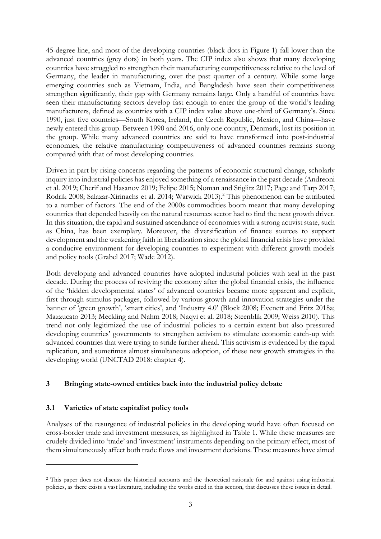45-degree line, and most of the developing countries (black dots in Figure 1) fall lower than the advanced countries (grey dots) in both years. The CIP index also shows that many developing countries have struggled to strengthen their manufacturing competitiveness relative to the level of Germany, the leader in manufacturing, over the past quarter of a century. While some large emerging countries such as Vietnam, India, and Bangladesh have seen their competitiveness strengthen significantly, their gap with Germany remains large. Only a handful of countries have seen their manufacturing sectors develop fast enough to enter the group of the world's leading manufacturers, defined as countries with a CIP index value above one-third of Germany's. Since 1990, just five countries—South Korea, Ireland, the Czech Republic, Mexico, and China—have newly entered this group. Between 1990 and 2016, only one country, Denmark, lost its position in the group. While many advanced countries are said to have transformed into post-industrial economies, the relative manufacturing competitiveness of advanced countries remains strong compared with that of most developing countries.

Driven in part by rising concerns regarding the patterns of economic structural change, scholarly inquiry into industrial policies has enjoyed something of a renaissance in the past decade (Andreoni et al. 2019; Cherif and Hasanov 2019; Felipe 2015; Noman and Stiglitz 2017; Page and Tarp 2017; Rodrik 2008; Salazar-Xirinachs et al. 2014; Warwick 2013).<sup>2</sup> This phenomenon can be attributed to a number of factors. The end of the 2000s commodities boom meant that many developing countries that depended heavily on the natural resources sector had to find the next growth driver. In this situation, the rapid and sustained ascendance of economies with a strong activist state, such as China, has been exemplary. Moreover, the diversification of finance sources to support development and the weakening faith in liberalization since the global financial crisis have provided a conducive environment for developing countries to experiment with different growth models and policy tools (Grabel 2017; Wade 2012).

Both developing and advanced countries have adopted industrial policies with zeal in the past decade. During the process of reviving the economy after the global financial crisis, the influence of the 'hidden developmental states' of advanced countries became more apparent and explicit, first through stimulus packages, followed by various growth and innovation strategies under the banner of 'green growth', 'smart cities', and 'Industry 4.0' (Block 2008; Evenett and Fritz 2018a; Mazzucato 2013; Meckling and Nahm 2018; Naqvi et al. 2018; Steenblik 2009; Weiss 2010). This trend not only legitimized the use of industrial policies to a certain extent but also pressured developing countries' governments to strengthen activism to stimulate economic catch-up with advanced countries that were trying to stride further ahead. This activism is evidenced by the rapid replication, and sometimes almost simultaneous adoption, of these new growth strategies in the developing world (UNCTAD 2018: chapter 4).

## **3 Bringing state-owned entities back into the industrial policy debate**

## **3.1 Varieties of state capitalist policy tools**

Analyses of the resurgence of industrial policies in the developing world have often focused on cross-border trade and investment measures, as highlighted in Table 1. While these measures are crudely divided into 'trade' and 'investment' instruments depending on the primary effect, most of them simultaneously affect both trade flows and investment decisions. These measures have aimed

<sup>&</sup>lt;sup>2</sup> This paper does not discuss the historical accounts and the theoretical rationale for and against using industrial policies, as there exists a vast literature, including the works cited in this section, that discusses these issues in detail.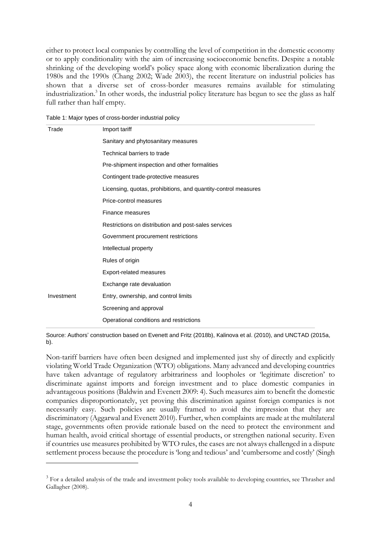either to protect local companies by controlling the level of competition in the domestic economy or to apply conditionality with the aim of increasing socioeconomic benefits. Despite a notable shrinking of the developing world's policy space along with economic liberalization during the 1980s and the 1990s (Chang 2002; Wade 2003), the recent literature on industrial policies has shown that a diverse set of cross-border measures remains available for stimulating industrialization.<sup>3</sup> In other words, the industrial policy literature has begun to see the glass as half full rather than half empty.

| Trade      | Import tariff                                                  |  |  |  |
|------------|----------------------------------------------------------------|--|--|--|
|            | Sanitary and phytosanitary measures                            |  |  |  |
|            | Technical barriers to trade                                    |  |  |  |
|            | Pre-shipment inspection and other formalities                  |  |  |  |
|            | Contingent trade-protective measures                           |  |  |  |
|            | Licensing, quotas, prohibitions, and quantity-control measures |  |  |  |
|            | Price-control measures                                         |  |  |  |
|            | Finance measures                                               |  |  |  |
|            | Restrictions on distribution and post-sales services           |  |  |  |
|            | Government procurement restrictions                            |  |  |  |
|            | Intellectual property                                          |  |  |  |
|            | Rules of origin                                                |  |  |  |
|            | Export-related measures                                        |  |  |  |
|            | Exchange rate devaluation                                      |  |  |  |
| Investment | Entry, ownership, and control limits                           |  |  |  |
|            | Screening and approval                                         |  |  |  |
|            | Operational conditions and restrictions                        |  |  |  |

Table 1: Major types of cross-border industrial policy

Source: Authors' construction based on Evenett and Fritz (2018b), Kalinova et al. (2010), and UNCTAD (2015a, b).

Non-tariff barriers have often been designed and implemented just shy of directly and explicitly violating World Trade Organization (WTO) obligations. Many advanced and developing countries have taken advantage of regulatory arbitrariness and loopholes or 'legitimate discretion' to discriminate against imports and foreign investment and to place domestic companies in advantageous positions (Baldwin and Evenett 2009: 4). Such measures aim to benefit the domestic companies disproportionately, yet proving this discrimination against foreign companies is not necessarily easy. Such policies are usually framed to avoid the impression that they are discriminatory (Aggarwal and Evenett 2010). Further, when complaints are made at the multilateral stage, governments often provide rationale based on the need to protect the environment and human health, avoid critical shortage of essential products, or strengthen national security. Even if countries use measures prohibited by WTO rules, the cases are not always challenged in a dispute settlement process because the procedure is 'long and tedious' and 'cumbersome and costly' (Singh

<sup>&</sup>lt;sup>3</sup> For a detailed analysis of the trade and investment policy tools available to developing countries, see Thrasher and Gallagher (2008).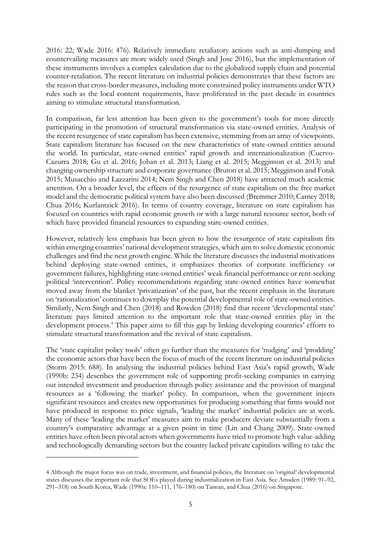2016: 22; Wade 2016: 476). Relatively immediate retaliatory actions such as anti-dumping and countervailing measures are more widely used (Singh and Jose 2016), but the implementation of these instruments involves a complex calculation due to the globalized supply chain and potential counter-retaliation. The recent literature on industrial policies demonstrates that these factors are the reason that cross-border measures, including more constrained policy instruments under WTO rules such as the local content requirements, have proliferated in the past decade in countries aiming to stimulate structural transformation.

In comparison, far less attention has been given to the government's tools for more directly participating in the promotion of structural transformation via state-owned entities. Analysis of the recent resurgence of state capitalism has been extensive, stemming from an array of viewpoints. State capitalism literature has focused on the new characteristics of state-owned entities around the world. In particular, state-owned entities' rapid growth and internationalization (Cuervo-Cazurra 2018; Gu et al. 2016; Johan et al. 2013; Liang et al. 2015; Megginson et al. 2013) and changing ownership structure and corporate governance (Bruton et al. 2015; Megginson and Fotak 2015; Musacchio and Lazzarini 2014; Nem Singh and Chen 2018) have attracted much academic attention. On a broader level, the effects of the resurgence of state capitalism on the free market model and the democratic political system have also been discussed (Bremmer 2010; Carney 2018; Chua 2016; Kurlantzick 2016). In terms of country coverage, literature on state capitalism has focused on countries with rapid economic growth or with a large natural resource sector, both of which have provided financial resources to expanding state-owned entities.

However, relatively less emphasis has been given to how the resurgence of state capitalism fits within emerging countries' national development strategies, which aim to solve domestic economic challenges and find the next growth engine. While the literature discusses the industrial motivations behind deploying state-owned entities, it emphasizes theories of corporate inefficiency or government failures, highlighting state-owned entities' weak financial performance or rent-seeking political 'intervention'. Policy recommendations regarding state-owned entities have somewhat moved away from the blanket 'privatization' of the past, but the recent emphasis in the literature on 'rationalization' continues to downplay the potential developmental role of state-owned entities. Similarly, Nem Singh and Chen (2018) and Rowden (2018) find that recent 'developmental state' literature pays limited attention to the important role that state-owned entities play in the development process.<sup>4</sup> This paper aims to fill this gap by linking developing countries' efforts to stimulate structural transformation and the revival of state capitalism.

The 'state capitalist policy tools' often go further than the measures for 'nudging' and 'prodding' the economic actors that have been the focus of much of the recent literature on industrial policies (Storm 2015: 688). In analysing the industrial policies behind East Asia's rapid growth, Wade (1990b: 234) describes the government role of supporting profit-seeking companies in carrying out intended investment and production through policy assistance and the provision of marginal resources as a 'following the market' policy. In comparison, when the government injects significant resources and creates new opportunities for producing something that firms would not have produced in response to price signals, 'leading the market' industrial policies are at work. Many of these 'leading the market' measures aim to make producers deviate substantially from a country's comparative advantage at a given point in time (Lin and Chang 2009). State-owned entities have often been pivotal actors when governments have tried to promote high value-adding and technologically demanding sectors but the country lacked private capitalists willing to take the

<sup>4</sup> Although the major focus was on trade, investment, and financial policies, the literature on 'original' developmental states discusses the important role that SOEs played during industrialization in East Asia. See Amsden (1989: 91–92, 291–318) on South Korea, Wade (1990a: 110–111, 176–180) on Taiwan, and Chua (2016) on Singapore.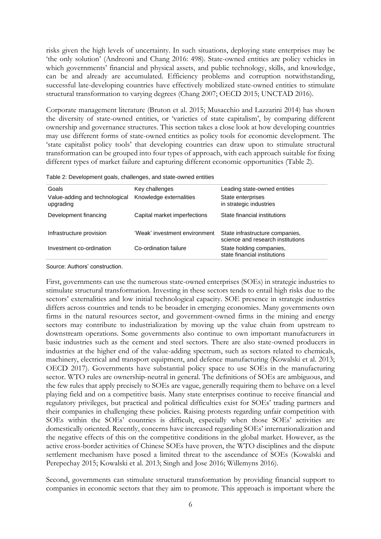risks given the high levels of uncertainty. In such situations, deploying state enterprises may be 'the only solution' (Andreoni and Chang 2016: 498). State-owned entities are policy vehicles in which governments' financial and physical assets, and public technology, skills, and knowledge, can be and already are accumulated. Efficiency problems and corruption notwithstanding, successful late-developing countries have effectively mobilized state-owned entities to stimulate structural transformation to varying degrees (Chang 2007; OECD 2015; UNCTAD 2016).

Corporate management literature (Bruton et al. 2015; Musacchio and Lazzarini 2014) has shown the diversity of state-owned entities, or 'varieties of state capitalism', by comparing different ownership and governance structures. This section takes a close look at how developing countries may use different forms of state-owned entities as policy tools for economic development. The 'state capitalist policy tools' that developing countries can draw upon to stimulate structural transformation can be grouped into four types of approach, with each approach suitable for fixing different types of market failure and capturing different economic opportunities (Table 2).

| Table 2: Development goals, challenges, and state-owned entities |  |  |
|------------------------------------------------------------------|--|--|
|                                                                  |  |  |

| Key challenges                | Leading state-owned entities                                         |
|-------------------------------|----------------------------------------------------------------------|
| Knowledge externalities       | State enterprises<br>in strategic industries                         |
| Capital market imperfections  | State financial institutions                                         |
| 'Weak' investment environment | State infrastructure companies,<br>science and research institutions |
| Co-ordination failure         | State holding companies,<br>state financial institutions             |
|                               |                                                                      |

Source: Authors' construction.

First, governments can use the numerous state-owned enterprises (SOEs) in strategic industries to stimulate structural transformation. Investing in these sectors tends to entail high risks due to the sectors' externalities and low initial technological capacity. SOE presence in strategic industries differs across countries and tends to be broader in emerging economies. Many governments own firms in the natural resources sector, and government-owned firms in the mining and energy sectors may contribute to industrialization by moving up the value chain from upstream to downstream operations. Some governments also continue to own important manufacturers in basic industries such as the cement and steel sectors. There are also state-owned producers in industries at the higher end of the value-adding spectrum, such as sectors related to chemicals, machinery, electrical and transport equipment, and defence manufacturing (Kowalski et al. 2013; OECD 2017). Governments have substantial policy space to use SOEs in the manufacturing sector. WTO rules are ownership-neutral in general. The definitions of SOEs are ambiguous, and the few rules that apply precisely to SOEs are vague, generally requiring them to behave on a level playing field and on a competitive basis. Many state enterprises continue to receive financial and regulatory privileges, but practical and political difficulties exist for SOEs' trading partners and their companies in challenging these policies. Raising protests regarding unfair competition with SOEs within the SOEs' countries is difficult, especially when those SOEs' activities are domestically oriented. Recently, concerns have increased regarding SOEs' internationalization and the negative effects of this on the competitive conditions in the global market. However, as the active cross-border activities of Chinese SOEs have proven, the WTO disciplines and the dispute settlement mechanism have posed a limited threat to the ascendance of SOEs (Kowalski and Perepechay 2015; Kowalski et al. 2013; Singh and Jose 2016; Willemyns 2016).

Second, governments can stimulate structural transformation by providing financial support to companies in economic sectors that they aim to promote. This approach is important where the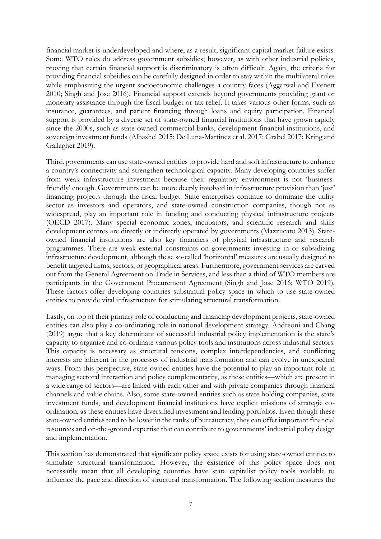financial market is underdeveloped and where, as a result, significant capital market failure exists. Some WTO rules do address government subsidies; however, as with other industrial policies, proving that certain financial support is discriminatory is often difficult. Again, the criteria for providing financial subsidies can be carefully designed in order to stay within the multilateral rules while emphasizing the urgent socioeconomic challenges a country faces (Aggarwal and Evenett 2010; Singh and Jose 2016). Financial support extends beyond governments providing grant or monetary assistance through the fiscal budget or tax relief. It takes various other forms, such as insurance, guarantees, and patient financing through loans and equity participation. Financial support is provided by a diverse set of state-owned financial institutions that have grown rapidly since the 2000s, such as state-owned commercial banks, development financial institutions, and sovereign investment funds (Alhashel 2015; De Luna-Martinez et al. 2017; Grabel 2017; Kring and Gallagher 2019).

Third, governments can use state-owned entities to provide hard and soft infrastructure to enhance a country's connectivity and strengthen technological capacity. Many developing countries suffer from weak infrastructure investment because their regulatory environment is not 'businessfriendly' enough. Governments can be more deeply involved in infrastructure provision than 'just' financing projects through the fiscal budget. State enterprises continue to dominate the utility sector as investors and operators, and state-owned construction companies, though not as widespread, play an important role in funding and conducting physical infrastructure projects (OECD 2017). Many special economic zones, incubators, and scientific research and skills development centres are directly or indirectly operated by governments (Mazzucato 2013). Stateowned financial institutions are also key financiers of physical infrastructure and research programmes. There are weak external constraints on governments investing in or subsidizing infrastructure development, although these so-called 'horizontal' measures are usually designed to benefit targeted firms, sectors, or geographical areas. Furthermore, government services are carved out from the General Agreement on Trade in Services, and less than a third of WTO members are participants in the Government Procurement Agreement (Singh and Jose 2016; WTO 2019). These factors offer developing countries substantial policy space in which to use state-owned entities to provide vital infrastructure for stimulating structural transformation.

Lastly, on top of their primary role of conducting and financing development projects, state-owned entities can also play a co-ordinating role in national development strategy. Andreoni and Chang (2019) argue that a key determinant of successful industrial policy implementation is the state's capacity to organize and co-ordinate various policy tools and institutions across industrial sectors. This capacity is necessary as structural tensions, complex interdependencies, and conflicting interests are inherent in the processes of industrial transformation and can evolve in unexpected ways. From this perspective, state-owned entities have the potential to play an important role in managing sectoral interaction and policy complementarity, as these entities—which are present in a wide range of sectors—are linked with each other and with private companies through financial channels and value chains. Also, some state-owned entities such as state holding companies, state investment funds, and development financial institutions have explicit missions of strategic coordination, as these entities have diversified investment and lending portfolios. Even though these state-owned entities tend to be lower in the ranks of bureaucracy, they can offer important financial resources and on-the-ground expertise that can contribute to governments' industrial policy design and implementation.

This section has demonstrated that significant policy space exists for using state-owned entities to stimulate structural transformation. However, the existence of this policy space does not necessarily mean that all developing countries have state capitalist policy tools available to influence the pace and direction of structural transformation. The following section measures the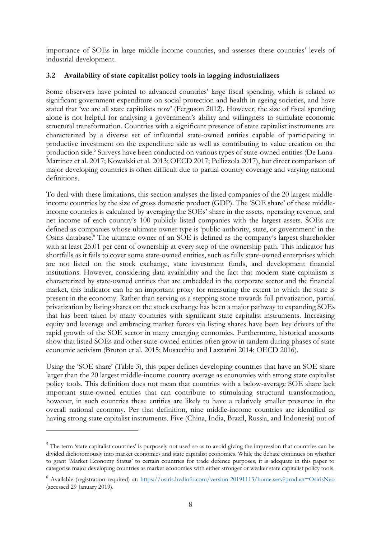importance of SOEs in large middle-income countries, and assesses these countries' levels of industrial development.

## **3.2 Availability of state capitalist policy tools in lagging industrializers**

Some observers have pointed to advanced countries' large fiscal spending, which is related to significant government expenditure on social protection and health in ageing societies, and have stated that 'we are all state capitalists now' (Ferguson 2012). However, the size of fiscal spending alone is not helpful for analysing a government's ability and willingness to stimulate economic structural transformation. Countries with a significant presence of state capitalist instruments are characterized by a diverse set of influential state-owned entities capable of participating in productive investment on the expenditure side as well as contributing to value creation on the production side.<sup>5</sup> Surveys have been conducted on various types of state-owned entities (De Luna-Martinez et al. 2017; Kowalski et al. 2013; OECD 2017; Pellizzola 2017), but direct comparison of major developing countries is often difficult due to partial country coverage and varying national definitions.

To deal with these limitations, this section analyses the listed companies of the 20 largest middleincome countries by the size of gross domestic product (GDP). The 'SOE share' of these middleincome countries is calculated by averaging the SOEs' share in the assets, operating revenue, and net income of each country's 100 publicly listed companies with the largest assets. SOEs are defined as companies whose ultimate owner type is 'public authority, state, or government' in the Osiris database.<sup>6</sup> The ultimate owner of an SOE is defined as the company's largest shareholder with at least 25.01 per cent of ownership at every step of the ownership path. This indicator has shortfalls as it fails to cover some state-owned entities, such as fully state-owned enterprises which are not listed on the stock exchange, state investment funds, and development financial institutions. However, considering data availability and the fact that modern state capitalism is characterized by state-owned entities that are embedded in the corporate sector and the financial market, this indicator can be an important proxy for measuring the extent to which the state is present in the economy. Rather than serving as a stepping stone towards full privatization, partial privatization by listing shares on the stock exchange has been a major pathway to expanding SOEs that has been taken by many countries with significant state capitalist instruments. Increasing equity and leverage and embracing market forces via listing shares have been key drivers of the rapid growth of the SOE sector in many emerging economies. Furthermore, historical accounts show that listed SOEs and other state-owned entities often grow in tandem during phases of state economic activism (Bruton et al. 2015; Musacchio and Lazzarini 2014; OECD 2016).

Using the 'SOE share' (Table 3), this paper defines developing countries that have an SOE share larger than the 20 largest middle-income country average as economies with strong state capitalist policy tools. This definition does not mean that countries with a below-average SOE share lack important state-owned entities that can contribute to stimulating structural transformation; however, in such countries these entities are likely to have a relatively smaller presence in the overall national economy. Per that definition, nine middle-income countries are identified as having strong state capitalist instruments. Five (China, India, Brazil, Russia, and Indonesia) out of

<sup>&</sup>lt;sup>5</sup> The term 'state capitalist countries' is purposely not used so as to avoid giving the impression that countries can be divided dichotomously into market economies and state capitalist economies. While the debate continues on whether to grant 'Market Economy Status' to certain countries for trade defence purposes, it is adequate in this paper to categorise major developing countries as market economies with either stronger or weaker state capitalist policy tools.

<sup>6</sup> Available (registration required) at:<https://osiris.bvdinfo.com/version-20191113/home.serv?product=OsirisNeo> (accessed 29 January 2019).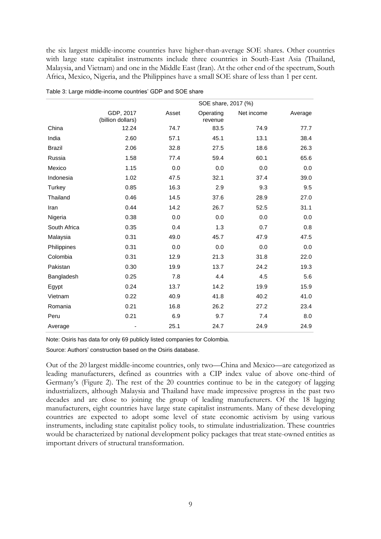the six largest middle-income countries have higher-than-average SOE shares. Other countries with large state capitalist instruments include three countries in South-East Asia (Thailand, Malaysia, and Vietnam) and one in the Middle East (Iran). At the other end of the spectrum, South Africa, Mexico, Nigeria, and the Philippines have a small SOE share of less than 1 per cent.

|               | SOE share, 2017 (%)            |       |                      |            |         |
|---------------|--------------------------------|-------|----------------------|------------|---------|
|               | GDP, 2017<br>(billion dollars) | Asset | Operating<br>revenue | Net income | Average |
| China         | 12.24                          | 74.7  | 83.5                 | 74.9       | 77.7    |
| India         | 2.60                           | 57.1  | 45.1                 | 13.1       | 38.4    |
| <b>Brazil</b> | 2.06                           | 32.8  | 27.5                 | 18.6       | 26.3    |
| Russia        | 1.58                           | 77.4  | 59.4                 | 60.1       | 65.6    |
| Mexico        | 1.15                           | 0.0   | 0.0                  | 0.0        | 0.0     |
| Indonesia     | 1.02                           | 47.5  | 32.1                 | 37.4       | 39.0    |
| Turkey        | 0.85                           | 16.3  | 2.9                  | 9.3        | 9.5     |
| Thailand      | 0.46                           | 14.5  | 37.6                 | 28.9       | 27.0    |
| Iran          | 0.44                           | 14.2  | 26.7                 | 52.5       | 31.1    |
| Nigeria       | 0.38                           | 0.0   | 0.0                  | 0.0        | 0.0     |
| South Africa  | 0.35                           | 0.4   | 1.3                  | 0.7        | 0.8     |
| Malaysia      | 0.31                           | 49.0  | 45.7                 | 47.9       | 47.5    |
| Philippines   | 0.31                           | 0.0   | 0.0                  | 0.0        | 0.0     |
| Colombia      | 0.31                           | 12.9  | 21.3                 | 31.8       | 22.0    |
| Pakistan      | 0.30                           | 19.9  | 13.7                 | 24.2       | 19.3    |
| Bangladesh    | 0.25                           | 7.8   | 4.4                  | 4.5        | 5.6     |
| Egypt         | 0.24                           | 13.7  | 14.2                 | 19.9       | 15.9    |
| Vietnam       | 0.22                           | 40.9  | 41.8                 | 40.2       | 41.0    |
| Romania       | 0.21                           | 16.8  | 26.2                 | 27.2       | 23.4    |
| Peru          | 0.21                           | 6.9   | 9.7                  | 7.4        | 8.0     |
| Average       |                                | 25.1  | 24.7                 | 24.9       | 24.9    |

Table 3: Large middle-income countries' GDP and SOE share

Note: Osiris has data for only 69 publicly listed companies for Colombia.

Source: Authors' construction based on the Osiris database.

Out of the 20 largest middle-income countries, only two—China and Mexico—are categorized as leading manufacturers, defined as countries with a CIP index value of above one-third of Germany's (Figure 2). The rest of the 20 countries continue to be in the category of lagging industrializers, although Malaysia and Thailand have made impressive progress in the past two decades and are close to joining the group of leading manufacturers. Of the 18 lagging manufacturers, eight countries have large state capitalist instruments. Many of these developing countries are expected to adopt some level of state economic activism by using various instruments, including state capitalist policy tools, to stimulate industrialization. These countries would be characterized by national development policy packages that treat state-owned entities as important drivers of structural transformation.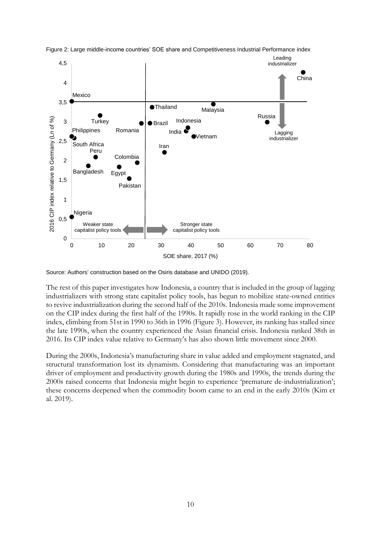

Figure 2: Large middle-income countries' SOE share and Competitiveness Industrial Performance index

Source: Authors' construction based on the Osiris database and UNIDO (2019).

The rest of this paper investigates how Indonesia, a country that is included in the group of lagging industrializers with strong state capitalist policy tools, has begun to mobilize state-owned entities to revive industrialization during the second half of the 2010s. Indonesia made some improvement on the CIP index during the first half of the 1990s. It rapidly rose in the world ranking in the CIP index, climbing from 51st in 1990 to 36th in 1996 (Figure 3). However, its ranking has stalled since the late 1990s, when the country experienced the Asian financial crisis. Indonesia ranked 38th in 2016. Its CIP index value relative to Germany's has also shown little movement since 2000.

During the 2000s, Indonesia's manufacturing share in value added and employment stagnated, and structural transformation lost its dynamism. Considering that manufacturing was an important driver of employment and productivity growth during the 1980s and 1990s, the trends during the 2000s raised concerns that Indonesia might begin to experience 'premature de-industrialization'; these concerns deepened when the commodity boom came to an end in the early 2010s (Kim et al. 2019).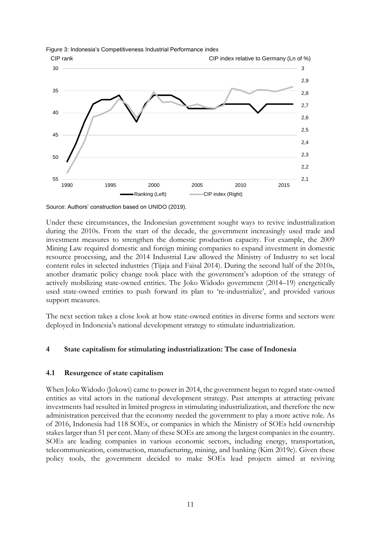



Source: Authors' construction based on UNIDO (2019).

Under these circumstances, the Indonesian government sought ways to revive industrialization during the 2010s. From the start of the decade, the government increasingly used trade and investment measures to strengthen the domestic production capacity. For example, the 2009 Mining Law required domestic and foreign mining companies to expand investment in domestic resource processing, and the 2014 Industrial Law allowed the Ministry of Industry to set local content rules in selected industries (Tijaja and Faisal 2014). During the second half of the 2010s, another dramatic policy change took place with the government's adoption of the strategy of actively mobilizing state-owned entities. The Joko Widodo government (2014–19) energetically used state-owned entities to push forward its plan to 're-industrialize', and provided various support measures.

The next section takes a close look at how state-owned entities in diverse forms and sectors were deployed in Indonesia's national development strategy to stimulate industrialization.

#### **4 State capitalism for stimulating industrialization: The case of Indonesia**

#### **4.1 Resurgence of state capitalism**

When Joko Widodo (Jokowi) came to power in 2014, the government began to regard state-owned entities as vital actors in the national development strategy. Past attempts at attracting private investments had resulted in limited progress in stimulating industrialization, and therefore the new administration perceived that the economy needed the government to play a more active role. As of 2016, Indonesia had 118 SOEs, or companies in which the Ministry of SOEs held ownership stakes larger than 51 per cent. Many of these SOEs are among the largest companies in the country. SOEs are leading companies in various economic sectors, including energy, transportation, telecommunication, construction, manufacturing, mining, and banking (Kim 2019c). Given these policy tools, the government decided to make SOEs lead projects aimed at reviving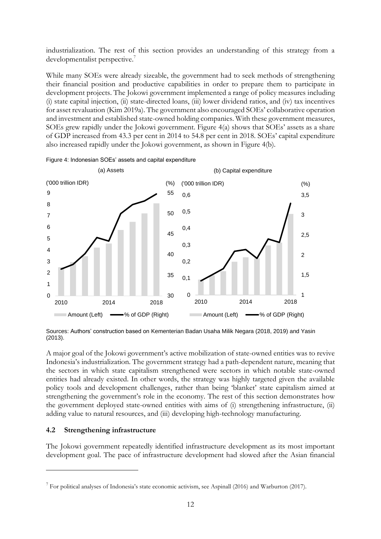industrialization. The rest of this section provides an understanding of this strategy from a developmentalist perspective.<sup>7</sup>

While many SOEs were already sizeable, the government had to seek methods of strengthening their financial position and productive capabilities in order to prepare them to participate in development projects. The Jokowi government implemented a range of policy measures including (i) state capital injection, (ii) state-directed loans, (iii) lower dividend ratios, and (iv) tax incentives for asset revaluation (Kim 2019a). The government also encouraged SOEs' collaborative operation and investment and established state-owned holding companies. With these government measures, SOEs grew rapidly under the Jokowi government. Figure 4(a) shows that SOEs' assets as a share of GDP increased from 43.3 per cent in 2014 to 54.8 per cent in 2018. SOEs' capital expenditure also increased rapidly under the Jokowi government, as shown in Figure 4(b).



Figure 4: Indonesian SOEs' assets and capital expenditure

Sources: Authors' construction based on Kementerian Badan Usaha Milik Negara (2018, 2019) and Yasin (2013).

A major goal of the Jokowi government's active mobilization of state-owned entities was to revive Indonesia's industrialization. The government strategy had a path-dependent nature, meaning that the sectors in which state capitalism strengthened were sectors in which notable state-owned entities had already existed. In other words, the strategy was highly targeted given the available policy tools and development challenges, rather than being 'blanket' state capitalism aimed at strengthening the government's role in the economy. The rest of this section demonstrates how the government deployed state-owned entities with aims of (i) strengthening infrastructure, (ii) adding value to natural resources, and (iii) developing high-technology manufacturing.

#### **4.2 Strengthening infrastructure**

The Jokowi government repeatedly identified infrastructure development as its most important development goal. The pace of infrastructure development had slowed after the Asian financial

<sup>&</sup>lt;sup>7</sup> For political analyses of Indonesia's state economic activism, see Aspinall (2016) and Warburton (2017).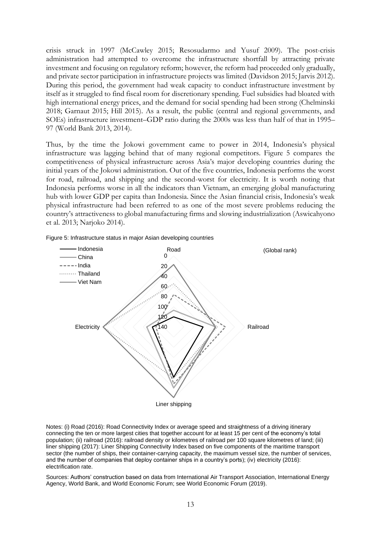crisis struck in 1997 (McCawley 2015; Resosudarmo and Yusuf 2009). The post-crisis administration had attempted to overcome the infrastructure shortfall by attracting private investment and focusing on regulatory reform; however, the reform had proceeded only gradually, and private sector participation in infrastructure projects was limited (Davidson 2015; Jarvis 2012). During this period, the government had weak capacity to conduct infrastructure investment by itself as it struggled to find fiscal room for discretionary spending. Fuel subsidies had bloated with high international energy prices, and the demand for social spending had been strong (Chelminski 2018; Garnaut 2015; Hill 2015). As a result, the public (central and regional governments, and SOEs) infrastructure investment–GDP ratio during the 2000s was less than half of that in 1995– 97 (World Bank 2013, 2014).

Thus, by the time the Jokowi government came to power in 2014, Indonesia's physical infrastructure was lagging behind that of many regional competitors. Figure 5 compares the competitiveness of physical infrastructure across Asia's major developing countries during the initial years of the Jokowi administration. Out of the five countries, Indonesia performs the worst for road, railroad, and shipping and the second-worst for electricity. It is worth noting that Indonesia performs worse in all the indicators than Vietnam, an emerging global manufacturing hub with lower GDP per capita than Indonesia. Since the Asian financial crisis, Indonesia's weak physical infrastructure had been referred to as one of the most severe problems reducing the country's attractiveness to global manufacturing firms and slowing industrialization (Aswicahyono et al. 2013; Narjoko 2014).

Figure 5: Infrastructure status in major Asian developing countries



Notes: (i) Road (2016): Road Connectivity Index or average speed and straightness of a driving itinerary connecting the ten or more largest cities that together account for at least 15 per cent of the economy's total population; (ii) railroad (2016): railroad density or kilometres of railroad per 100 square kilometres of land; (iii) liner shipping (2017): Liner Shipping Connectivity Index based on five components of the maritime transport sector (the number of ships, their container-carrying capacity, the maximum vessel size, the number of services, and the number of companies that deploy container ships in a country's ports); (iv) electricity (2016): electrification rate.

Sources: Authors' construction based on data from International Air Transport Association, International Energy Agency, World Bank, and World Economic Forum; see World Economic Forum (2019).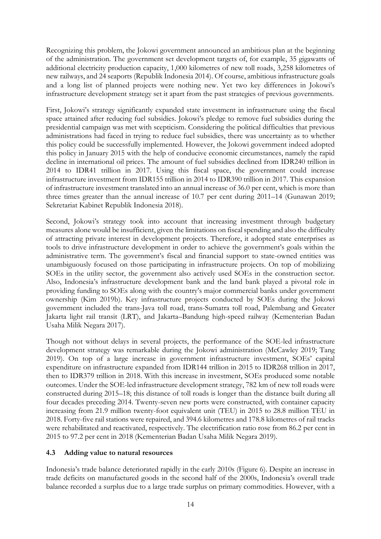Recognizing this problem, the Jokowi government announced an ambitious plan at the beginning of the administration. The government set development targets of, for example, 35 gigawatts of additional electricity production capacity, 1,000 kilometres of new toll roads, 3,258 kilometres of new railways, and 24 seaports (Republik Indonesia 2014). Of course, ambitious infrastructure goals and a long list of planned projects were nothing new. Yet two key differences in Jokowi's infrastructure development strategy set it apart from the past strategies of previous governments.

First, Jokowi's strategy significantly expanded state investment in infrastructure using the fiscal space attained after reducing fuel subsidies. Jokowi's pledge to remove fuel subsidies during the presidential campaign was met with scepticism. Considering the political difficulties that previous administrations had faced in trying to reduce fuel subsidies, there was uncertainty as to whether this policy could be successfully implemented. However, the Jokowi government indeed adopted this policy in January 2015 with the help of conducive economic circumstances, namely the rapid decline in international oil prices. The amount of fuel subsidies declined from IDR240 trillion in 2014 to IDR41 trillion in 2017. Using this fiscal space, the government could increase infrastructure investment from IDR155 trillion in 2014 to IDR390 trillion in 2017. This expansion of infrastructure investment translated into an annual increase of 36.0 per cent, which is more than three times greater than the annual increase of 10.7 per cent during 2011–14 (Gunawan 2019; Sekretariat Kabinet Republik Indonesia 2018).

Second, Jokowi's strategy took into account that increasing investment through budgetary measures alone would be insufficient, given the limitations on fiscal spending and also the difficulty of attracting private interest in development projects. Therefore, it adopted state enterprises as tools to drive infrastructure development in order to achieve the government's goals within the administrative term. The government's fiscal and financial support to state-owned entities was unambiguously focused on those participating in infrastructure projects. On top of mobilizing SOEs in the utility sector, the government also actively used SOEs in the construction sector. Also, Indonesia's infrastructure development bank and the land bank played a pivotal role in providing funding to SOEs along with the country's major commercial banks under government ownership (Kim 2019b). Key infrastructure projects conducted by SOEs during the Jokowi government included the trans-Java toll road, trans-Sumatra toll road, Palembang and Greater Jakarta light rail transit (LRT), and Jakarta–Bandung high-speed railway (Kementerian Badan Usaha Milik Negara 2017).

Though not without delays in several projects, the performance of the SOE-led infrastructure development strategy was remarkable during the Jokowi administration (McCawley 2019; Tang 2019). On top of a large increase in government infrastructure investment, SOEs' capital expenditure on infrastructure expanded from IDR144 trillion in 2015 to IDR268 trillion in 2017, then to IDR379 trillion in 2018. With this increase in investment, SOEs produced some notable outcomes. Under the SOE-led infrastructure development strategy, 782 km of new toll roads were constructed during 2015–18; this distance of toll roads is longer than the distance built during all four decades preceding 2014. Twenty-seven new ports were constructed, with container capacity increasing from 21.9 million twenty-foot equivalent unit (TEU) in 2015 to 28.8 million TEU in 2018. Forty-five rail stations were repaired, and 394.6 kilometres and 178.8 kilometres of rail tracks were rehabilitated and reactivated, respectively. The electrification ratio rose from 86.2 per cent in 2015 to 97.2 per cent in 2018 (Kementerian Badan Usaha Milik Negara 2019).

## **4.3 Adding value to natural resources**

Indonesia's trade balance deteriorated rapidly in the early 2010s (Figure 6). Despite an increase in trade deficits on manufactured goods in the second half of the 2000s, Indonesia's overall trade balance recorded a surplus due to a large trade surplus on primary commodities. However, with a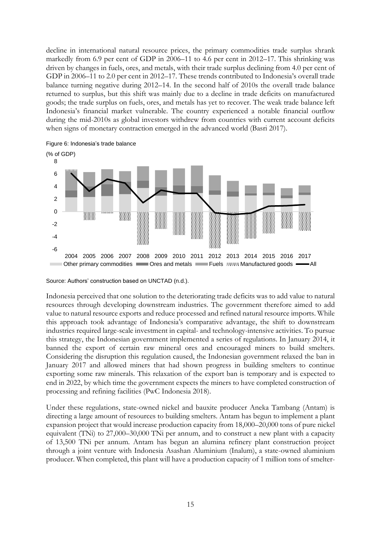decline in international natural resource prices, the primary commodities trade surplus shrank markedly from 6.9 per cent of GDP in 2006–11 to 4.6 per cent in 2012–17. This shrinking was driven by changes in fuels, ores, and metals, with their trade surplus declining from 4.0 per cent of GDP in 2006–11 to 2.0 per cent in 2012–17. These trends contributed to Indonesia's overall trade balance turning negative during 2012–14. In the second half of 2010s the overall trade balance returned to surplus, but this shift was mainly due to a decline in trade deficits on manufactured goods; the trade surplus on fuels, ores, and metals has yet to recover. The weak trade balance left Indonesia's financial market vulnerable. The country experienced a notable financial outflow during the mid-2010s as global investors withdrew from countries with current account deficits when signs of monetary contraction emerged in the advanced world (Basri 2017).



Figure 6: Indonesia's trade balance

Source: Authors' construction based on UNCTAD (n.d.).

Indonesia perceived that one solution to the deteriorating trade deficits was to add value to natural resources through developing downstream industries. The government therefore aimed to add value to natural resource exports and reduce processed and refined natural resource imports. While this approach took advantage of Indonesia's comparative advantage, the shift to downstream industries required large-scale investment in capital- and technology-intensive activities. To pursue this strategy, the Indonesian government implemented a series of regulations. In January 2014, it banned the export of certain raw mineral ores and encouraged miners to build smelters. Considering the disruption this regulation caused, the Indonesian government relaxed the ban in January 2017 and allowed miners that had shown progress in building smelters to continue exporting some raw minerals. This relaxation of the export ban is temporary and is expected to end in 2022, by which time the government expects the miners to have completed construction of processing and refining facilities (PwC Indonesia 2018).

Under these regulations, state-owned nickel and bauxite producer Aneka Tambang (Antam) is directing a large amount of resources to building smelters. Antam has begun to implement a plant expansion project that would increase production capacity from 18,000–20,000 tons of pure nickel equivalent (TNi) to 27,000–30,000 TNi per annum, and to construct a new plant with a capacity of 13,500 TNi per annum. Antam has begun an alumina refinery plant construction project through a joint venture with Indonesia Asashan Aluminium (Inalum), a state-owned aluminium producer. When completed, this plant will have a production capacity of 1 million tons of smelter-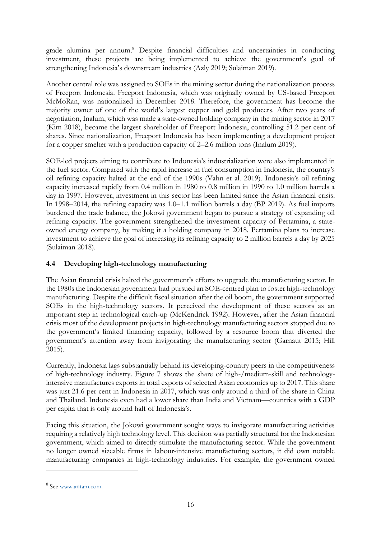grade alumina per annum. <sup>8</sup> Despite financial difficulties and uncertainties in conducting investment, these projects are being implemented to achieve the government's goal of strengthening Indonesia's downstream industries (Azly 2019; Sulaiman 2019).

Another central role was assigned to SOEs in the mining sector during the nationalization process of Freeport Indonesia. Freeport Indonesia, which was originally owned by US-based Freeport McMoRan, was nationalized in December 2018. Therefore, the government has become the majority owner of one of the world's largest copper and gold producers. After two years of negotiation, Inalum, which was made a state-owned holding company in the mining sector in 2017 (Kim 2018), became the largest shareholder of Freeport Indonesia, controlling 51.2 per cent of shares. Since nationalization, Freeport Indonesia has been implementing a development project for a copper smelter with a production capacity of 2–2.6 million tons (Inalum 2019).

SOE-led projects aiming to contribute to Indonesia's industrialization were also implemented in the fuel sector. Compared with the rapid increase in fuel consumption in Indonesia, the country's oil refining capacity halted at the end of the 1990s (Vahn et al. 2019). Indonesia's oil refining capacity increased rapidly from 0.4 million in 1980 to 0.8 million in 1990 to 1.0 million barrels a day in 1997. However, investment in this sector has been limited since the Asian financial crisis. In 1998–2014, the refining capacity was 1.0–1.1 million barrels a day (BP 2019). As fuel imports burdened the trade balance, the Jokowi government began to pursue a strategy of expanding oil refining capacity. The government strengthened the investment capacity of Pertamina, a stateowned energy company, by making it a holding company in 2018. Pertamina plans to increase investment to achieve the goal of increasing its refining capacity to 2 million barrels a day by 2025 (Sulaiman 2018).

## **4.4 Developing high-technology manufacturing**

The Asian financial crisis halted the government's efforts to upgrade the manufacturing sector. In the 1980s the Indonesian government had pursued an SOE-centred plan to foster high-technology manufacturing. Despite the difficult fiscal situation after the oil boom, the government supported SOEs in the high-technology sectors. It perceived the development of these sectors as an important step in technological catch-up (McKendrick 1992). However, after the Asian financial crisis most of the development projects in high-technology manufacturing sectors stopped due to the government's limited financing capacity, followed by a resource boom that diverted the government's attention away from invigorating the manufacturing sector (Garnaut 2015; Hill 2015).

Currently, Indonesia lags substantially behind its developing-country peers in the competitiveness of high-technology industry. Figure 7 shows the share of high-/medium-skill and technologyintensive manufactures exports in total exports of selected Asian economies up to 2017. This share was just 21.6 per cent in Indonesia in 2017, which was only around a third of the share in China and Thailand. Indonesia even had a lower share than India and Vietnam—countries with a GDP per capita that is only around half of Indonesia's.

Facing this situation, the Jokowi government sought ways to invigorate manufacturing activities requiring a relatively high technology level. This decision was partially structural for the Indonesian government, which aimed to directly stimulate the manufacturing sector. While the government no longer owned sizeable firms in labour-intensive manufacturing sectors, it did own notable manufacturing companies in high-technology industries. For example, the government owned

<sup>8</sup> See [www.antam.com.](http://www.antam.com/)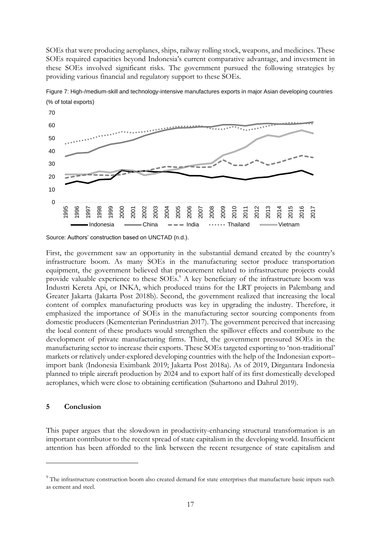SOEs that were producing aeroplanes, ships, railway rolling stock, weapons, and medicines. These SOEs required capacities beyond Indonesia's current comparative advantage, and investment in these SOEs involved significant risks. The government pursued the following strategies by providing various financial and regulatory support to these SOEs.





First, the government saw an opportunity in the substantial demand created by the country's infrastructure boom. As many SOEs in the manufacturing sector produce transportation equipment, the government believed that procurement related to infrastructure projects could provide valuable experience to these SOEs.<sup>9</sup> A key beneficiary of the infrastructure boom was Industri Kereta Api, or INKA, which produced trains for the LRT projects in Palembang and Greater Jakarta (Jakarta Post 2018b). Second, the government realized that increasing the local content of complex manufacturing products was key in upgrading the industry. Therefore, it emphasized the importance of SOEs in the manufacturing sector sourcing components from domestic producers (Kementerian Perindustrian 2017). The government perceived that increasing the local content of these products would strengthen the spillover effects and contribute to the development of private manufacturing firms. Third, the government pressured SOEs in the manufacturing sector to increase their exports. These SOEs targeted exporting to 'non-traditional' markets or relatively under-explored developing countries with the help of the Indonesian export– import bank (Indonesia Eximbank 2019; Jakarta Post 2018a). As of 2019, Dirgantara Indonesia planned to triple aircraft production by 2024 and to export half of its first domestically developed aeroplanes, which were close to obtaining certification (Suhartono and Dahrul 2019).

#### **5 Conclusion**

This paper argues that the slowdown in productivity-enhancing structural transformation is an important contributor to the recent spread of state capitalism in the developing world. Insufficient attention has been afforded to the link between the recent resurgence of state capitalism and

Source: Authors' construction based on UNCTAD (n.d.).

<sup>&</sup>lt;sup>9</sup> The infrastructure construction boom also created demand for state enterprises that manufacture basic inputs such as cement and steel.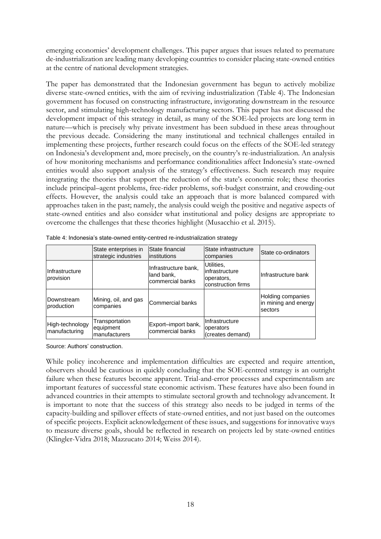emerging economies' development challenges. This paper argues that issues related to premature de-industrialization are leading many developing countries to consider placing state-owned entities at the centre of national development strategies.

The paper has demonstrated that the Indonesian government has begun to actively mobilize diverse state-owned entities, with the aim of reviving industrialization (Table 4). The Indonesian government has focused on constructing infrastructure, invigorating downstream in the resource sector, and stimulating high-technology manufacturing sectors. This paper has not discussed the development impact of this strategy in detail, as many of the SOE-led projects are long term in nature—which is precisely why private investment has been subdued in these areas throughout the previous decade. Considering the many institutional and technical challenges entailed in implementing these projects, further research could focus on the effects of the SOE-led strategy on Indonesia's development and, more precisely, on the country's re-industrialization. An analysis of how monitoring mechanisms and performance conditionalities affect Indonesia's state-owned entities would also support analysis of the strategy's effectiveness. Such research may require integrating the theories that support the reduction of the state's economic role; these theories include principal–agent problems, free-rider problems, soft-budget constraint, and crowding-out effects. However, the analysis could take an approach that is more balanced compared with approaches taken in the past; namely, the analysis could weigh the positive and negative aspects of state-owned entities and also consider what institutional and policy designs are appropriate to overcome the challenges that these theories highlight (Musacchio et al. 2015).

|                                  | State enterprises in<br>strategic industries | State financial<br>linstitutions                       | State infrastructure<br>companies                                | State co-ordinators                                  |
|----------------------------------|----------------------------------------------|--------------------------------------------------------|------------------------------------------------------------------|------------------------------------------------------|
| Infrastructure<br>provision      |                                              | Infrastructure bank.<br>land bank,<br>commercial banks | Utilities,<br>infrastructure<br>operators,<br>construction firms | Infrastructure bank                                  |
| Downstream<br><b>production</b>  | Mining, oil, and gas<br>companies            | Commercial banks                                       |                                                                  | Holding companies<br>in mining and energy<br>sectors |
| High-technology<br>manufacturing | Transportation<br>equipment<br>manufacturers | Export-import bank,<br>commercial banks                | IInfrastructure<br>operators<br>(creates demand)                 |                                                      |

| Table 4: Indonesia's state-owned entity-centred re-industrialization strategy |  |  |
|-------------------------------------------------------------------------------|--|--|
|                                                                               |  |  |

Source: Authors' construction.

While policy incoherence and implementation difficulties are expected and require attention, observers should be cautious in quickly concluding that the SOE-centred strategy is an outright failure when these features become apparent. Trial-and-error processes and experimentalism are important features of successful state economic activism. These features have also been found in advanced countries in their attempts to stimulate sectoral growth and technology advancement. It is important to note that the success of this strategy also needs to be judged in terms of the capacity-building and spillover effects of state-owned entities, and not just based on the outcomes of specific projects. Explicit acknowledgement of these issues, and suggestions for innovative ways to measure diverse goals, should be reflected in research on projects led by state-owned entities (Klingler-Vidra 2018; Mazzucato 2014; Weiss 2014).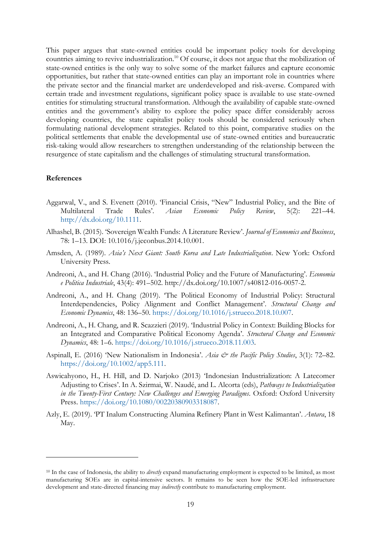This paper argues that state-owned entities could be important policy tools for developing countries aiming to revive industrialization.<sup>10</sup> Of course, it does not argue that the mobilization of state-owned entities is the only way to solve some of the market failures and capture economic opportunities, but rather that state-owned entities can play an important role in countries where the private sector and the financial market are underdeveloped and risk-averse. Compared with certain trade and investment regulations, significant policy space is available to use state-owned entities for stimulating structural transformation. Although the availability of capable state-owned entities and the government's ability to explore the policy space differ considerably across developing countries, the state capitalist policy tools should be considered seriously when formulating national development strategies. Related to this point, comparative studies on the political settlements that enable the developmental use of state-owned entities and bureaucratic risk-taking would allow researchers to strengthen understanding of the relationship between the resurgence of state capitalism and the challenges of stimulating structural transformation.

#### **References**

- Aggarwal, V., and S. Evenett (2010). 'Financial Crisis, "New" Industrial Policy, and the Bite of Multilateral Trade Rules'. *Asian Economic Policy Review*, 5(2): 221–44. [http://dx.doi.org/10.1111.](https://dx.doi.org/10.1111/j.1748-3131.2010.01166.x)
- Alhashel, B. (2015). 'Sovereign Wealth Funds: A Literature Review'. *Journal of Economics and Business*, 78: 1–13. DOI: 10.1016/j.jeconbus.2014.10.001.
- Amsden, A. (1989). *Asia's Next Giant: South Korea and Late Industrialization*. New York: Oxford University Press.
- Andreoni, A., and H. Chang (2016). 'Industrial Policy and the Future of Manufacturing'. *Economia e Politica Industriale*, 43(4): 491–502. http://dx.doi.org/10.1007/s40812-016-0057-2.
- Andreoni, A., and H. Chang (2019). 'The Political Economy of Industrial Policy: Structural Interdependencies, Policy Alignment and Conflict Management'. *Structural Change and Economic Dynamics*, 48: 136–50. [https://doi.org/10.1016/j.strueco.2018.10.007.](https://doi.org/10.1016/j.strueco.2018.10.007)
- Andreoni, A., H. Chang, and R. Scazzieri (2019). 'Industrial Policy in Context: Building Blocks for an Integrated and Comparative Political Economy Agenda'. *Structural Change and Economic Dynamics*, 48: 1–6. [https://doi.org/10.1016/j.strueco.2018.11.003.](https://doi.org/10.1016/j.strueco.2018.11.003)
- Aspinall, E. (2016) 'New Nationalism in Indonesia'. *Asia & the Pacific Policy Studies*, 3(1): 72–82. [https://doi.org/10.1002/app5.111.](https://doi.org/10.1002/app5.111)
- Aswicahyono, H., H. Hill, and D. Narjoko (2013) 'Indonesian Industrialization: A Latecomer Adjusting to Crises'. In A. Szirmai, W. Naudé, and L. Alcorta (eds), *Pathways to Industrialization in the Twenty-First Century: New Challenges and Emerging Paradigms*. Oxford: Oxford University Press. [https://doi.org/10.1080/00220380903318087.](https://doi.org/10.1080/00220380903318087)
- Azly, E. (2019). 'PT Inalum Constructing Alumina Refinery Plant in West Kalimantan'. *Antara*, 18 May.

<sup>10</sup> In the case of Indonesia, the ability to *directly* expand manufacturing employment is expected to be limited, as most manufacturing SOEs are in capital-intensive sectors. It remains to be seen how the SOE-led infrastructure development and state-directed financing may *indirectly* contribute to manufacturing employment.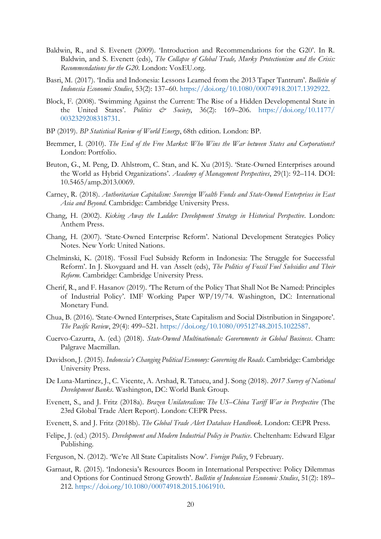- Baldwin, R., and S. Evenett (2009). 'Introduction and Recommendations for the G20'. In R. Baldwin, and S. Evenett (eds), *The Collapse of Global Trade, Murky Protectionism and the Crisis: Recommendations for the G20*. London: VoxEU.org.
- Basri, M. (2017). 'India and Indonesia: Lessons Learned from the 2013 Taper Tantrum'. *Bulletin of Indonesia Economic Studies*, 53(2): 137–60. [https://doi.org/10.1080/00074918.2017.1392922.](https://doi.org/10.1080/00074918.2017.1392922)
- Block, F. (2008). 'Swimming Against the Current: The Rise of a Hidden Developmental State in the United States'. *Politics & Society*, 36(2): 169–206. [https://doi.org/10.1177/](https://doi.org/10.1177/0032329208318731) [0032329208318731.](https://doi.org/10.1177/0032329208318731)
- BP (2019). *BP Statistical Review of World Energy*, 68th edition. London: BP.
- Bremmer, I. (2010). *The End of the Free Market: Who Wins the War between States and Corporations?* London: Portfolio.
- Bruton, G., M. Peng, D. Ahlstrom, C. Stan, and K. Xu (2015). 'State-Owned Enterprises around the World as Hybrid Organizations'. *Academy of Management Perspectives*, 29(1): 92–114. DOI: 10.5465/amp.2013.0069.
- Carney, R. (2018). *Authoritarian Capitalism: Sovereign Wealth Funds and State-Owned Enterprises in East Asia and Beyond*. Cambridge: Cambridge University Press.
- Chang, H. (2002). *Kicking Away the Ladder: Development Strategy in Historical Perspective*. London: Anthem Press.
- Chang, H. (2007). 'State-Owned Enterprise Reform'. National Development Strategies Policy Notes. New York: United Nations.
- Chelminski, K. (2018). 'Fossil Fuel Subsidy Reform in Indonesia: The Struggle for Successful Reform'. In J. Skovgaard and H. van Asselt (eds), *The Politics of Fossil Fuel Subsidies and Their Reform*. Cambridge: Cambridge University Press.
- Cherif, R., and F. Hasanov (2019). 'The Return of the Policy That Shall Not Be Named: Principles of Industrial Policy'. IMF Working Paper WP/19/74. Washington, DC: International Monetary Fund.
- Chua, B. (2016). 'State-Owned Enterprises, State Capitalism and Social Distribution in Singapore'. *The Pacific Review*, 29(4): 499–521. [https://doi.org/10.1080/09512748.2015.1022587.](https://doi.org/10.1080/09512748.2015.1022587)
- Cuervo-Cazurra, A. (ed.) (2018). *State-Owned Multinationals: Governments in Global Business*. Cham: Palgrave Macmillan.
- Davidson, J. (2015). *Indonesia's Changing Political Economy: Governing the Roads*. Cambridge: Cambridge University Press.
- De Luna-Martinez, J., C. Vicente, A. Arshad, R. Tatucu, and J. Song (2018). *2017 Survey of National Development Banks*. Washington, DC: World Bank Group.
- Evenett, S., and J. Fritz (2018a). *Brazen Unilateralism: The US–China Tariff War in Perspective* (The 23rd Global Trade Alert Report). London: CEPR Press.
- Evenett, S. and J. Fritz (2018b). *The Global Trade Alert Database Handbook*. London: CEPR Press.
- Felipe, J. (ed.) (2015). *Development and Modern Industrial Policy in Practice*. Cheltenham: Edward Elgar Publishing.
- Ferguson, N. (2012). 'We're All State Capitalists Now'. *Foreign Policy*, 9 February.
- Garnaut, R. (2015). 'Indonesia's Resources Boom in International Perspective: Policy Dilemmas and Options for Continued Strong Growth'. *Bulletin of Indonesian Economic Studies*, 51(2): 189– 212. [https://doi.org/10.1080/00074918.2015.1061910.](https://doi.org/10.1080/00074918.2015.1061910)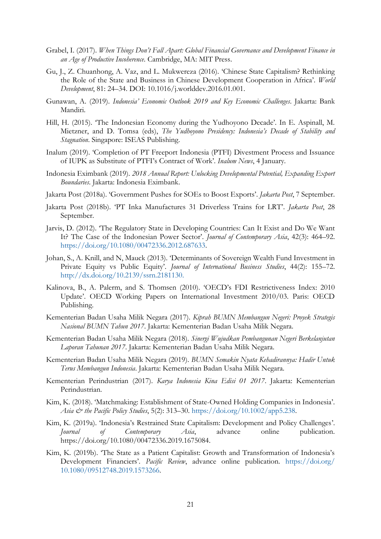- Grabel, I. (2017). *When Things Don't Fall Apart: Global Financial Governance and Development Finance in an Age of Productive Incoherence*. Cambridge, MA: MIT Press.
- Gu, J., Z. Chuanhong, A. Vaz, and L. Mukwereza (2016). 'Chinese State Capitalism? Rethinking the Role of the State and Business in Chinese Development Cooperation in Africa'. *World Development*, 81: 24–34. DOI: 10.1016/j.worlddev.2016.01.001.
- Gunawan, A. (2019). *Indonesia' Economic Outlook 2019 and Key Economic Challenges*. Jakarta: Bank Mandiri.
- Hill, H. (2015). 'The Indonesian Economy during the Yudhoyono Decade'. In E. Aspinall, M. Mietzner, and D. Tomsa (eds), *The Yudhoyono Presidency: Indonesia's Decade of Stability and Stagnation*. Singapore: ISEAS Publishing.
- Inalum (2019). 'Completion of PT Freeport Indonesia (PTFI) Divestment Process and Issuance of IUPK as Substitute of PTFI's Contract of Work'. *Inalum News*, 4 January.
- Indonesia Eximbank (2019). *2018 Annual Report: Unlocking Developmental Potential, Expanding Export Boundaries*. Jakarta: Indonesia Eximbank.
- Jakarta Post (2018a). 'Government Pushes for SOEs to Boost Exports'. *Jakarta Post*, 7 September.
- Jakarta Post (2018b). 'PT Inka Manufactures 31 Driverless Trains for LRT'. *Jakarta Post*, 28 September.
- Jarvis, D. (2012). 'The Regulatory State in Developing Countries: Can It Exist and Do We Want It? The Case of the Indonesian Power Sector'. *Journal of Contemporary Asia*, 42(3): 464–92. [https://doi.org/10.1080/00472336.2012.687633.](https://doi.org/10.1080/00472336.2012.687633)
- Johan, S., A. Knill, and N, Mauck (2013). 'Determinants of Sovereign Wealth Fund Investment in Private Equity vs Public Equity'. *Journal of International Business Studies*, 44(2): 155–72. <http://dx.doi.org/10.2139/ssrn.2181130.>
- Kalinova, B., A. Palerm, and S. Thomsen (2010). 'OECD's FDI Restrictiveness Index: 2010 Update'. OECD Working Papers on International Investment 2010/03. Paris: OECD Publishing.
- Kementerian Badan Usaha Milik Negara (2017). *Kiprah BUMN Membangun Negeri: Proyek Strategis Nasional BUMN Tahun 2017*. Jakarta: Kementerian Badan Usaha Milik Negara.
- Kementerian Badan Usaha Milik Negara (2018). *Sinergi Wujudkan Pembangunan Negeri Berkelanjutan Laporan Tahunan 2017*. Jakarta: Kementerian Badan Usaha Milik Negara.
- Kementerian Badan Usaha Milik Negara (2019). *BUMN Semakin Nyata Kehadirannya: Hadir Untuk Terus Membangun Indonesia*. Jakarta: Kementerian Badan Usaha Milik Negara.
- Kementerian Perindustrian (2017). *Karya Indonesia Kina Edisi 01 2017*. Jakarta: Kementerian Perindustrian.
- Kim, K. (2018). 'Matchmaking: Establishment of State-Owned Holding Companies in Indonesia'. *Asia & the Pacific Policy Studies*, 5(2): 313–30. [https://doi.org/10.1002/app5.238.](https://doi.org/10.1002/app5.238)
- Kim, K. (2019a). 'Indonesia's Restrained State Capitalism: Development and Policy Challenges'. *Journal of Contemporary Asia*, advance online publication. https://doi.org/10.1080/00472336.2019.1675084.
- Kim, K. (2019b). 'The State as a Patient Capitalist: Growth and Transformation of Indonesia's Development Financiers'. *Pacific Review*, advance online publication. [https://doi.org/](https://doi.org/10.1080/09512748.2019.1573266) [10.1080/09512748.2019.1573266.](https://doi.org/10.1080/09512748.2019.1573266)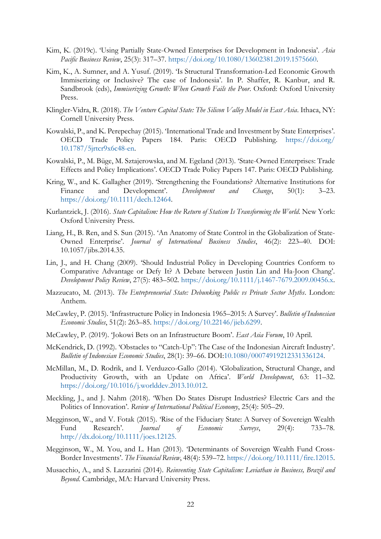- Kim, K. (2019c). 'Using Partially State-Owned Enterprises for Development in Indonesia'. *Asia Pacific Business Review*, 25(3): 317–37. [https://doi.org/10.1080/13602381.2019.1575660.](https://doi.org/10.1080/13602381.2019.1575660)
- Kim, K., A. Sumner, and A. Yusuf. (2019). 'Is Structural Transformation-Led Economic Growth Immiserizing or Inclusive? The case of Indonesia'. In P. Shaffer, R. Kanbur, and R. Sandbrook (eds), *Immiserizing Growth: When Growth Fails the Poor*. Oxford: Oxford University Press.
- Klingler-Vidra, R. (2018). *The Venture Capital State: The Silicon Valley Model in East Asia*. Ithaca, NY: Cornell University Press.
- Kowalski, P., and K. Perepechay (2015). 'International Trade and Investment by State Enterprises'. OECD Trade Policy Papers 184. Paris: OECD Publishing. [https://doi.org/](https://doi.org/10.1787/5jrtcr9x6c48-en) [10.1787/5jrtcr9x6c48-en.](https://doi.org/10.1787/5jrtcr9x6c48-en)
- Kowalski, P., M. Büge, M. Sztajerowska, and M. Egeland (2013). 'State-Owned Enterprises: Trade Effects and Policy Implications'. OECD Trade Policy Papers 147. Paris: OECD Publishing.
- Kring, W., and K. Gallagher (2019). 'Strengthening the Foundations? Alternative Institutions for Finance and Development'. *Development and Change*, 50(1): 3–23. [https://doi.org/10.1111/dech.12464.](https://doi.org/10.1111/dech.12464)
- Kurlantzick, J. (2016). *State Capitalism: How the Return of Statism Is Transforming the World*. New York: Oxford University Press.
- Liang, H., B. Ren, and S. Sun (2015). 'An Anatomy of State Control in the Globalization of State-Owned Enterprise'. *Journal of International Business Studies*, 46(2): 223–40. DOI: 10.1057/jibs.2014.35.
- Lin, J., and H. Chang (2009). 'Should Industrial Policy in Developing Countries Conform to Comparative Advantage or Defy It? A Debate between Justin Lin and Ha-Joon Chang'. *Development Policy Review*, 27(5): 483–502. [https://doi.org/10.1111/j.1467-7679.2009.00456.x.](https://doi.org/10.1111/j.1467-7679.2009.00456.x)
- Mazzucato, M. (2013). *The Entrepreneurial State: Debunking Public vs Private Sector Myths*. London: Anthem.
- McCawley, P. (2015). 'Infrastructure Policy in Indonesia 1965–2015: A Survey'. *Bulletin of Indonesian Economic Studies*, 51(2): 263–85. [https://doi.org/10.22146/jieb.6299.](https://doi.org/10.22146/jieb.6299)
- McCawley, P. (2019). 'Jokowi Bets on an Infrastructure Boom'. *East Asia Forum*, 10 April.
- McKendrick, D. (1992). 'Obstacles to "Catch-Up": The Case of the Indonesian Aircraft Industry'. *Bulletin of Indonesian Economic Studies*, 28(1): 39–66. DOI[:10.1080/00074919212331336124.](https://doi.org/10.1080/00074919212331336124)
- McMillan, M., D. Rodrik, and I. Verduzco-Gallo (2014). 'Globalization, Structural Change, and Productivity Growth, with an Update on Africa'. *World Development*, 63: 11–32. [https://doi.org/10.1016/j.worlddev.2013.10.012.](https://doi.org/10.1016/j.worlddev.2013.10.012)
- Meckling, J., and J. Nahm (2018). 'When Do States Disrupt Industries? Electric Cars and the Politics of Innovation'. *Review of International Political Economy*, 25(4): 505–29.
- Megginson, W., and V. Fotak (2015). 'Rise of the Fiduciary State: A Survey of Sovereign Wealth Fund Research'. *Journal of Economic Surveys*, 29(4): 733–78. <http://dx.doi.org/10.1111/joes.12125.>
- Megginson, W., M. You, and L. Han (2013). 'Determinants of Sovereign Wealth Fund Cross-Border Investments'. *The Financial Review*, 48(4): 539–72. [https://doi.org/10.1111/fire.12015.](https://doi.org/10.1111/fire.12015)
- Musacchio, A., and S. Lazzarini (2014). *Reinventing State Capitalism: Leviathan in Business, Brazil and Beyond*. Cambridge, MA: Harvard University Press.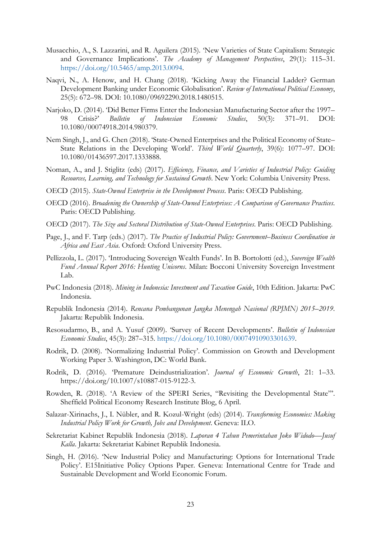- Musacchio, A., S. Lazzarini, and R. Aguilera (2015). 'New Varieties of State Capitalism: Strategic and Governance Implications'. *The Academy of Management Perspectives*, 29(1): 115–31. [https://doi.org/10.5465/amp.2013.0094.](https://doi.org/10.5465/amp.2013.0094)
- Naqvi, N., A. Henow, and H. Chang (2018). 'Kicking Away the Financial Ladder? German Development Banking under Economic Globalisation'. *Review of International Political Economy*, 25(5): 672–98. DOI: 10.1080/09692290.2018.1480515.
- Narjoko, D. (2014). 'Did Better Firms Enter the Indonesian Manufacturing Sector after the 1997– 98 Crisis?' *Bulletin of Indonesian Economic Studies*, 50(3): 371–91. DOI: 10.1080/00074918.2014.980379.
- Nem Singh, J., and G. Chen (2018). 'State-Owned Enterprises and the Political Economy of State– State Relations in the Developing World'. *Third World Quarterly*, 39(6): 1077–97. DOI: 10.1080/01436597.2017.1333888.
- Noman, A., and J. Stiglitz (eds) (2017). *Efficiency, Finance, and Varieties of Industrial Policy: Guiding Resources, Learning, and Technology for Sustained Growth*. New York: Columbia University Press.
- OECD (2015). *State-Owned Enterprise in the Development Process*. Paris: OECD Publishing.
- OECD (2016). *Broadening the Ownership of State-Owned Enterprises: A Comparison of Governance Practices*. Paris: OECD Publishing.
- OECD (2017). *The Size and Sectoral Distribution of State-Owned Enterprises*. Paris: OECD Publishing.
- Page, J., and F. Tarp (eds.) (2017). *The Practice of Industrial Policy: Government–Business Coordination in Africa and East Asia*. Oxford: Oxford University Press.
- Pellizzola, L. (2017). 'Introducing Sovereign Wealth Funds'. In B. Bortolotti (ed.), *Sovereign Wealth Fund Annual Report 2016: Hunting Unicorns*. Milan: Bocconi University Sovereign Investment Lab.
- PwC Indonesia (2018). *Mining in Indonesia: Investment and Taxation Guide*, 10th Edition. Jakarta: PwC Indonesia.
- Republik Indonesia (2014). *Rencana Pembangunan Jangka Menengah Nasional (RPJMN) 2015–2019*. Jakarta: Republik Indonesia.
- Resosudarmo, B., and A. Yusuf (2009). 'Survey of Recent Developments'. *Bulletin of Indonesian Economic Studies*, 45(3): 287–315. [https://doi.org/10.1080/00074910903301639.](https://doi.org/10.1080/00074910903301639)
- Rodrik, D. (2008). 'Normalizing Industrial Policy'. Commission on Growth and Development Working Paper 3. Washington, DC: World Bank.
- Rodrik, D. (2016). 'Premature Deindustrialization'. *Journal of Economic Growth*, 21: 1–33. https://doi.org/10.1007/s10887-015-9122-3.
- Rowden, R. (2018). 'A Review of the SPERI Series, "Revisiting the Developmental State"'. Sheffield Political Economy Research Institute Blog, 6 April.
- Salazar-Xirinachs, J., I. Nübler, and R. Kozul-Wright (eds) (2014). *Transforming Economies: Making Industrial Policy Work for Growth, Jobs and Development*. Geneva: ILO.
- Sekretariat Kabinet Republik Indonesia (2018). *Laporan 4 Tahun Pemerintahan Joko Widodo—Jusuf Kalla*. Jakarta: Sekretariat Kabinet Republik Indonesia.
- Singh, H. (2016). 'New Industrial Policy and Manufacturing: Options for International Trade Policy'. E15Initiative Policy Options Paper. Geneva: International Centre for Trade and Sustainable Development and World Economic Forum.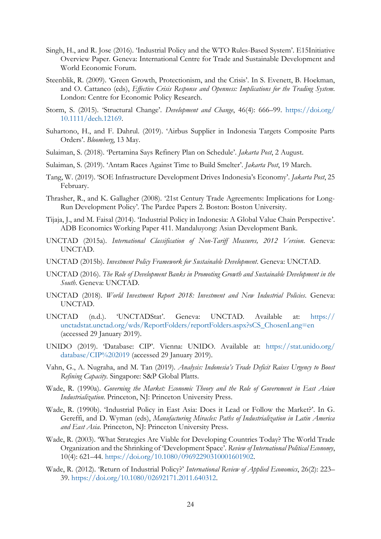- Singh, H., and R. Jose (2016). 'Industrial Policy and the WTO Rules-Based System'. E15Initiative Overview Paper. Geneva: International Centre for Trade and Sustainable Development and World Economic Forum.
- Steenblik, R. (2009). 'Green Growth, Protectionism, and the Crisis'. In S. Evenett, B. Hoekman, and O. Cattaneo (eds), *Effective Crisis Response and Openness: Implications for the Trading System*. London: Centre for Economic Policy Research.
- Storm, S. (2015). 'Structural Change'. *Development and Change*, 46(4): 666–99. [https://doi.org/](https://doi.org/10.1111/dech.12169) [10.1111/dech.12169.](https://doi.org/10.1111/dech.12169)
- Suhartono, H., and F. Dahrul. (2019). 'Airbus Supplier in Indonesia Targets Composite Parts Orders'. *Bloomberg*, 13 May.
- Sulaiman, S. (2018). 'Pertamina Says Refinery Plan on Schedule'. *Jakarta Post*, 2 August.
- Sulaiman, S. (2019). 'Antam Races Against Time to Build Smelter'. *Jakarta Post*, 19 March.
- Tang, W. (2019). 'SOE Infrastructure Development Drives Indonesia's Economy'. *Jakarta Post*, 25 February.
- Thrasher, R., and K. Gallagher (2008). '21st Century Trade Agreements: Implications for Long-Run Development Policy'. The Pardee Papers 2. Boston: Boston University.
- Tijaja, J., and M. Faisal (2014). 'Industrial Policy in Indonesia: A Global Value Chain Perspective'. ADB Economics Working Paper 411. Mandaluyong: Asian Development Bank.
- UNCTAD (2015a). *International Classification of Non-Tariff Measures, 2012 Version*. Geneva: UNCTAD.
- UNCTAD (2015b). *Investment Policy Framework for Sustainable Development*. Geneva: UNCTAD.
- UNCTAD (2016). *The Role of Development Banks in Promoting Growth and Sustainable Development in the South*. Geneva: UNCTAD.
- UNCTAD (2018). *World Investment Report 2018: Investment and New Industrial Policies*. Geneva: UNCTAD.
- UNCTAD (n.d.). 'UNCTADStat'. Geneva: UNCTAD. Available at: [https://](https://unctadstat.unctad.org/wds/ReportFolders/reportFolders.aspx?sCS_ChosenLang=en) [unctadstat.unctad.org/wds/ReportFolders/reportFolders.aspx?sCS\\_ChosenLang=en](https://unctadstat.unctad.org/wds/ReportFolders/reportFolders.aspx?sCS_ChosenLang=en) (accessed 29 January 2019).
- UNIDO (2019). 'Database: CIP'. Vienna: UNIDO. Available at: [https://stat.unido.org/](https://stat.unido.org/database/CIP%202019) [database/CIP%202019](https://stat.unido.org/database/CIP%202019) (accessed 29 January 2019).
- Vahn, G., A. Nugraha, and M. Tan (2019). *Analysis: Indonesia's Trade Deficit Raises Urgency to Boost Refining Capacity*. Singapore: S&P Global Platts.
- Wade, R. (1990a). *Governing the Market: Economic Theory and the Role of Government in East Asian Industrialization*. Princeton, NJ: Princeton University Press.
- Wade, R. (1990b). 'Industrial Policy in East Asia: Does it Lead or Follow the Market?'. In G. Gereffi, and D. Wyman (eds), *Manufacturing Miracles: Paths of Industrialization in Latin America and East Asia*. Princeton, NJ: Princeton University Press.
- Wade, R. (2003). 'What Strategies Are Viable for Developing Countries Today? The World Trade Organization and the Shrinking of 'Development Space'. *Review of International Political Economy*, 10(4): 621–44. [https://doi.org/10.1080/09692290310001601902.](https://doi.org/10.1080/09692290310001601902)
- Wade, R. (2012). 'Return of Industrial Policy?' *International Review of Applied Economics*, 26(2): 223– 39. [https://doi.org/10.1080/02692171.2011.640312.](https://doi.org/10.1080/02692171.2011.640312)